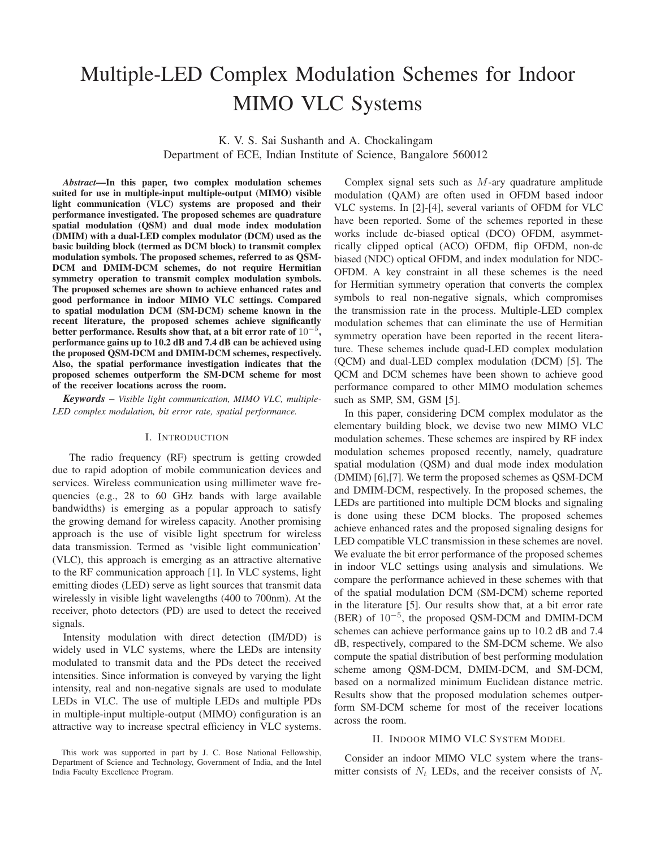# Multiple-LED Complex Modulation Schemes for Indoor MIMO VLC Systems

K. V. S. Sai Sushanth and A. Chockalingam Department of ECE, Indian Institute of Science, Bangalore 560012

*Abstract*—In this paper, two complex modulation schemes suited for use in multiple-input multiple-output (MIMO) visible light communication (VLC) systems are proposed and their performance investigated. The proposed schemes are quadrature spatial modulation (QSM) and dual mode index modulation (DMIM) with a dual-LED complex modulator (DCM) used as the basic building block (termed as DCM block) to transmit complex modulation symbols. The proposed schemes, referred to as QSM-DCM and DMIM-DCM schemes, do not require Hermitian symmetry operation to transmit complex modulation symbols. The proposed schemes are shown to achieve enhanced rates and good performance in indoor MIMO VLC settings. Compared to spatial modulation DCM (SM-DCM) scheme known in the recent literature, the proposed schemes achieve significantly better performance. Results show that, at a bit error rate of  $10^{-5}$ , performance gains up to 10.2 dB and 7.4 dB can be achieved using the proposed QSM-DCM and DMIM-DCM schemes, respectively. Also, the spatial performance investigation indicates that the proposed schemes outperform the SM-DCM scheme for most of the receiver locations across the room.

*Keywords* – *Visible light communication, MIMO VLC, multiple-LED complex modulation, bit error rate, spatial performance.*

#### I. INTRODUCTION

The radio frequency (RF) spectrum is getting crowded due to rapid adoption of mobile communication devices and services. Wireless communication using millimeter wave frequencies (e.g., 28 to 60 GHz bands with large available bandwidths) is emerging as a popular approach to satisfy the growing demand for wireless capacity. Another promising approach is the use of visible light spectrum for wireless data transmission. Termed as 'visible light communication' (VLC), this approach is emerging as an attractive alternative to the RF communication approach [1]. In VLC systems, light emitting diodes (LED) serve as light sources that transmit data wirelessly in visible light wavelengths (400 to 700nm). At the receiver, photo detectors (PD) are used to detect the received signals.

Intensity modulation with direct detection (IM/DD) is widely used in VLC systems, where the LEDs are intensity modulated to transmit data and the PDs detect the received intensities. Since information is conveyed by varying the light intensity, real and non-negative signals are used to modulate LEDs in VLC. The use of multiple LEDs and multiple PDs in multiple-input multiple-output (MIMO) configuration is an attractive way to increase spectral efficiency in VLC systems.

Complex signal sets such as  $M$ -ary quadrature amplitude modulation (QAM) are often used in OFDM based indoor VLC systems. In [2]-[4], several variants of OFDM for VLC have been reported. Some of the schemes reported in these works include dc-biased optical (DCO) OFDM, asymmetrically clipped optical (ACO) OFDM, flip OFDM, non-dc biased (NDC) optical OFDM, and index modulation for NDC-OFDM. A key constraint in all these schemes is the need for Hermitian symmetry operation that converts the complex symbols to real non-negative signals, which compromises the transmission rate in the process. Multiple-LED complex modulation schemes that can eliminate the use of Hermitian symmetry operation have been reported in the recent literature. These schemes include quad-LED complex modulation (QCM) and dual-LED complex modulation (DCM) [5]. The QCM and DCM schemes have been shown to achieve good performance compared to other MIMO modulation schemes such as SMP, SM, GSM [5].

In this paper, considering DCM complex modulator as the elementary building block, we devise two new MIMO VLC modulation schemes. These schemes are inspired by RF index modulation schemes proposed recently, namely, quadrature spatial modulation (QSM) and dual mode index modulation (DMIM) [6],[7]. We term the proposed schemes as QSM-DCM and DMIM-DCM, respectively. In the proposed schemes, the LEDs are partitioned into multiple DCM blocks and signaling is done using these DCM blocks. The proposed schemes achieve enhanced rates and the proposed signaling designs for LED compatible VLC transmission in these schemes are novel. We evaluate the bit error performance of the proposed schemes in indoor VLC settings using analysis and simulations. We compare the performance achieved in these schemes with that of the spatial modulation DCM (SM-DCM) scheme reported in the literature [5]. Our results show that, at a bit error rate (BER) of 10−<sup>5</sup> , the proposed QSM-DCM and DMIM-DCM schemes can achieve performance gains up to 10.2 dB and 7.4 dB, respectively, compared to the SM-DCM scheme. We also compute the spatial distribution of best performing modulation scheme among QSM-DCM, DMIM-DCM, and SM-DCM, based on a normalized minimum Euclidean distance metric. Results show that the proposed modulation schemes outperform SM-DCM scheme for most of the receiver locations across the room.

### II. INDOOR MIMO VLC SYSTEM MODEL

Consider an indoor MIMO VLC system where the transmitter consists of  $N_t$  LEDs, and the receiver consists of  $N_r$ 

This work was supported in part by J. C. Bose National Fellowship, Department of Science and Technology, Government of India, and the Intel India Faculty Excellence Program.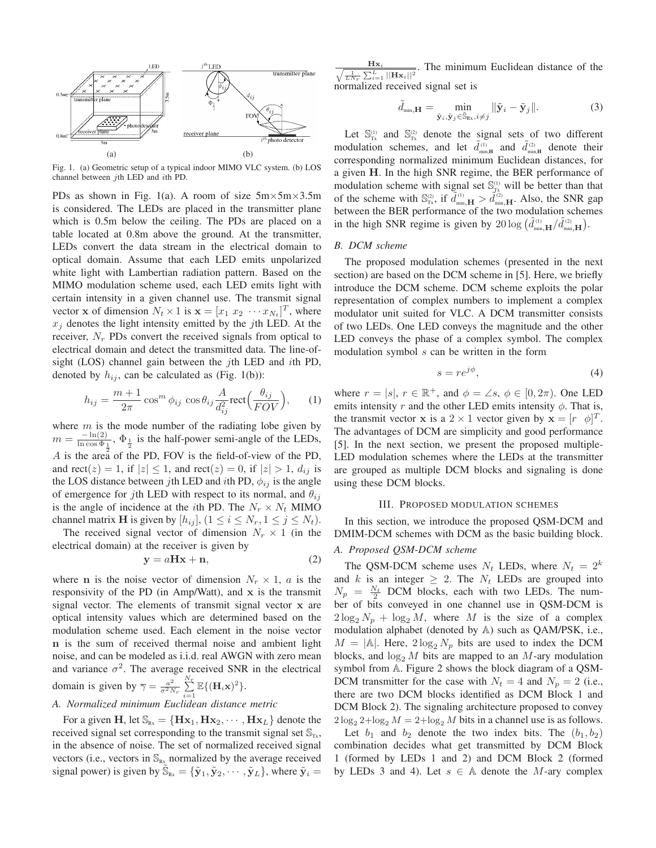

Fig. 1. (a) Geometric setup of a typical indoor MIMO VLC system. (b) LOS channel between jth LED and ith PD.

PDs as shown in Fig. 1(a). A room of size  $5m \times 5m \times 3.5m$ is considered. The LEDs are placed in the transmitter plane which is 0.5m below the ceiling. The PDs are placed on a table located at 0.8m above the ground. At the transmitter, LEDs convert the data stream in the electrical domain to optical domain. Assume that each LED emits unpolarized white light with Lambertian radiation pattern. Based on the MIMO modulation scheme used, each LED emits light with certain intensity in a given channel use. The transmit signal vector **x** of dimension  $N_t \times 1$  is  $\mathbf{x} = [x_1 \ x_2 \ \cdots x_{N_t}]^T$ , where  $x_i$  denotes the light intensity emitted by the jth LED. At the receiver,  $N_r$  PDs convert the received signals from optical to electrical domain and detect the transmitted data. The line-ofsight (LOS) channel gain between the jth LED and ith PD, denoted by  $h_{ij}$ , can be calculated as (Fig. 1(b)):

$$
h_{ij} = \frac{m+1}{2\pi} \cos^m \phi_{ij} \cos \theta_{ij} \frac{A}{d_{ij}^2} \text{rect}\Big(\frac{\theta_{ij}}{FOV}\Big), \qquad (1)
$$

where  $m$  is the mode number of the radiating lobe given by  $m = \frac{-\ln(2)}{\ln\cos\Phi}$  $\frac{-\ln(2)}{\ln \cos \Phi_1}$ ,  $\Phi_{\frac{1}{2}}$  is the half-power semi-angle of the LEDs, A is the area of the PD, FOV is the field-of-view of the PD, and rect(*z*) = 1, if  $|z| \le 1$ , and rect(*z*) = 0, if  $|z| > 1$ ,  $d_{ij}$  is the LOS distance between *j*th LED and *i*th PD,  $\phi_{ij}$  is the angle of emergence for jth LED with respect to its normal, and  $\theta_{ij}$ is the angle of incidence at the *i*th PD. The  $N_r \times N_t$  MIMO channel matrix **H** is given by  $[h_{ij}]$ ,  $(1 \le i \le N_r, 1 \le j \le N_t)$ .

The received signal vector of dimension  $N_r \times 1$  (in the electrical domain) at the receiver is given by

$$
y = aHx + n,\t\t(2)
$$

where **n** is the noise vector of dimension  $N_r \times 1$ , a is the responsivity of the PD (in Amp/Watt), and x is the transmit signal vector. The elements of transmit signal vector x are optical intensity values which are determined based on the modulation scheme used. Each element in the noise vector n is the sum of received thermal noise and ambient light noise, and can be modeled as i.i.d. real AWGN with zero mean and variance  $\sigma^2$ . The average received SNR in the electrical domain is given by  $\overline{\gamma} = \frac{a^2}{\sigma^2 N_r}$  $\sum\limits_{i=1}^{N_r}\mathbb{E}\{(\mathbf{H}_i\mathbf{x})^2\}.$ *A. Normalized minimum Euclidean distance metric*

For a given H, let  $\mathbb{S}_{Rx} = \{H\mathbf{x}_1, H\mathbf{x}_2, \cdots, H\mathbf{x}_L\}$  denote the received signal set corresponding to the transmit signal set  $\mathbb{S}_{T_x}$ , in the absence of noise. The set of normalized received signal vectors (i.e., vectors in  $\mathbb{S}_{Rx}$  normalized by the average received signal power) is given by  $\tilde{S}_{Rx} = {\tilde{y}_1, \tilde{y}_2, \cdots, \tilde{y}_L}$ , where  $\tilde{y}_i =$ 

 $\frac{\mathbf{Hx}_i}{\sqrt{\frac{1}{LN_T}\sum_{i=1}^{L}||\mathbf{Hx}_i||^2}}$ . The minimum Euclidean distance of the normalized received signal set is

$$
\tilde{d}_{\min,\mathbf{H}} = \min_{\tilde{\mathbf{y}}_i, \tilde{\mathbf{y}}_j \in \tilde{\mathbb{S}}_{\text{Rx}}, i \neq j} ||\tilde{\mathbf{y}}_i - \tilde{\mathbf{y}}_j||. \tag{3}
$$

Let  $\mathbb{S}_{\tau_x}^{(1)}$  and  $\mathbb{S}_{\tau_x}^{(2)}$  denote the signal sets of two different modulation schemes, and let  $\tilde{d}_{\min,H}^{(1)}$  and  $\tilde{d}_{\min,H}^{(2)}$  denote their corresponding normalized minimum Euclidean distances, for a given H. In the high SNR regime, the BER performance of modulation scheme with signal set  $\mathbb{S}_{T_x}^{(1)}$  will be better than that of the scheme with  $\mathbb{S}_{\text{Tx}}^{\text{(2)}}$ , if  $\tilde{d}_{\text{min},\mathbf{H}}^{(1)} > \tilde{d}_{\text{min},\mathbf{H}}^{(2)}$ . Also, the SNR gap between the BER performance of the two modulation schemes in the high SNR regime is given by  $20 \log \left( \tilde{d}_{\min,\mathbf{H}}^{(1)} / \tilde{d}_{\min,\mathbf{H}}^{(2)} \right)$ .

## *B. DCM scheme*

The proposed modulation schemes (presented in the next section) are based on the DCM scheme in [5]. Here, we briefly introduce the DCM scheme. DCM scheme exploits the polar representation of complex numbers to implement a complex modulator unit suited for VLC. A DCM transmitter consists of two LEDs. One LED conveys the magnitude and the other LED conveys the phase of a complex symbol. The complex modulation symbol s can be written in the form

$$
s = re^{j\phi},\tag{4}
$$

where  $r = |s|, r \in \mathbb{R}^+$ , and  $\phi = \angle s, \phi \in [0, 2\pi)$ . One LED emits intensity r and the other LED emits intensity  $\phi$ . That is, the transmit vector **x** is a 2 × 1 vector given by  $\mathbf{x} = [r \ \phi]^T$ . The advantages of DCM are simplicity and good performance [5]. In the next section, we present the proposed multiple-LED modulation schemes where the LEDs at the transmitter are grouped as multiple DCM blocks and signaling is done using these DCM blocks.

#### III. PROPOSED MODULATION SCHEMES

In this section, we introduce the proposed QSM-DCM and DMIM-DCM schemes with DCM as the basic building block.

# *A. Proposed QSM-DCM scheme*

The QSM-DCM scheme uses  $N_t$  LEDs, where  $N_t = 2^k$ and k is an integer  $\geq 2$ . The  $N_t$  LEDs are grouped into  $N_p = \frac{N_t}{2}$  DCM blocks, each with two LEDs. The number of bits conveyed in one channel use in QSM-DCM is  $2\log_2 N_p + \log_2 M$ , where M is the size of a complex modulation alphabet (denoted by A) such as QAM/PSK, i.e.,  $M = |A|$ . Here,  $2 \log_2 N_p$  bits are used to index the DCM blocks, and  $\log_2 M$  bits are mapped to an M-ary modulation symbol from A. Figure 2 shows the block diagram of a QSM-DCM transmitter for the case with  $N_t = 4$  and  $N_p = 2$  (i.e., there are two DCM blocks identified as DCM Block 1 and DCM Block 2). The signaling architecture proposed to convey  $2\log_2 2 + \log_2 M = 2 + \log_2 M$  bits in a channel use is as follows.

Let  $b_1$  and  $b_2$  denote the two index bits. The  $(b_1, b_2)$ combination decides what get transmitted by DCM Block 1 (formed by LEDs 1 and 2) and DCM Block 2 (formed by LEDs 3 and 4). Let  $s \in A$  denote the M-ary complex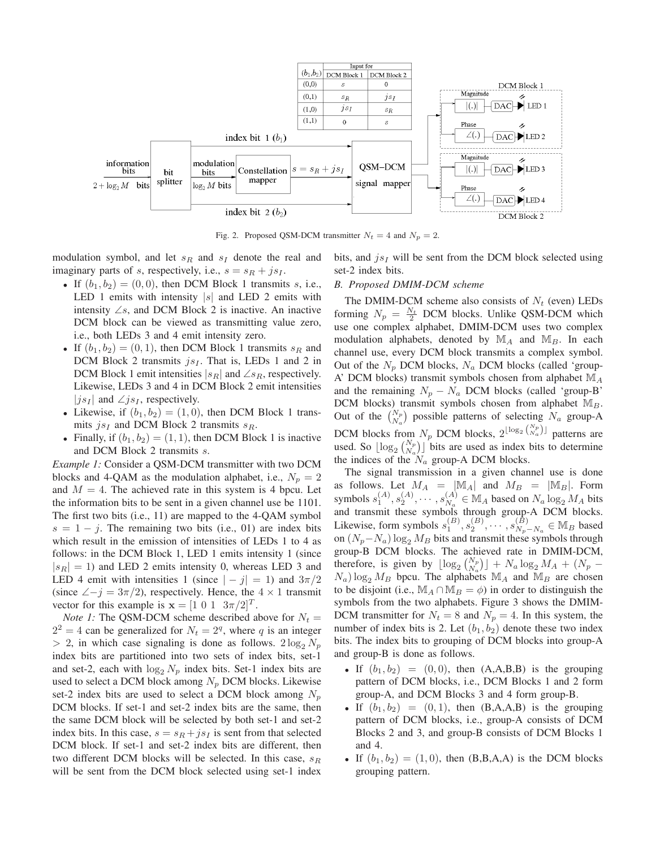

Fig. 2. Proposed QSM-DCM transmitter  $N_t = 4$  and  $N_p = 2$ .

modulation symbol, and let  $s_R$  and  $s_I$  denote the real and imaginary parts of s, respectively, i.e.,  $s = s<sub>R</sub> + js<sub>I</sub>$ .

- If  $(b_1, b_2) = (0, 0)$ , then DCM Block 1 transmits s, i.e., LED 1 emits with intensity  $|s|$  and LED 2 emits with intensity  $\angle s$ , and DCM Block 2 is inactive. An inactive DCM block can be viewed as transmitting value zero, i.e., both LEDs 3 and 4 emit intensity zero.
- If  $(b_1, b_2) = (0, 1)$ , then DCM Block 1 transmits  $s_R$  and DCM Block 2 transmits  $i_{s}I$ . That is, LEDs 1 and 2 in DCM Block 1 emit intensities  $|s_R|$  and ∠ $s_R$ , respectively. Likewise, LEDs 3 and 4 in DCM Block 2 emit intensities  $|j_{s_I}|$  and  $\angle j_{s_I}$ , respectively.
- Likewise, if  $(b_1, b_2) = (1, 0)$ , then DCM Block 1 transmits  $js<sub>I</sub>$  and DCM Block 2 transmits  $s<sub>R</sub>$ .
- Finally, if  $(b_1, b_2) = (1, 1)$ , then DCM Block 1 is inactive and DCM Block 2 transmits s.

*Example 1:* Consider a QSM-DCM transmitter with two DCM blocks and 4-QAM as the modulation alphabet, i.e.,  $N_p = 2$ and  $M = 4$ . The achieved rate in this system is 4 bpcu. Let the information bits to be sent in a given channel use be 1101. The first two bits (i.e., 11) are mapped to the 4-QAM symbol  $s = 1 - i$ . The remaining two bits (i.e., 01) are index bits which result in the emission of intensities of LEDs 1 to 4 as follows: in the DCM Block 1, LED 1 emits intensity 1 (since  $|s_R| = 1$ ) and LED 2 emits intensity 0, whereas LED 3 and LED 4 emit with intensities 1 (since  $|-j| = 1$ ) and  $3\pi/2$ (since  $\angle -j = 3\pi/2$ ), respectively. Hence, the 4 × 1 transmit vector for this example is  $\mathbf{x} = \begin{bmatrix} 1 & 0 & 1 & 3\pi/2 \end{bmatrix}^T$ .

*Note 1:* The QSM-DCM scheme described above for  $N_t =$  $2^2 = 4$  can be generalized for  $N_t = 2^q$ , where q is an integer  $> 2$ , in which case signaling is done as follows.  $2 \log_2 N_p$ index bits are partitioned into two sets of index bits, set-1 and set-2, each with  $\log_2 N_p$  index bits. Set-1 index bits are used to select a DCM block among  $N_p$  DCM blocks. Likewise set-2 index bits are used to select a DCM block among  $N_p$ DCM blocks. If set-1 and set-2 index bits are the same, then the same DCM block will be selected by both set-1 and set-2 index bits. In this case,  $s = s<sub>R</sub> + j s<sub>I</sub>$  is sent from that selected DCM block. If set-1 and set-2 index bits are different, then two different DCM blocks will be selected. In this case,  $s_R$ will be sent from the DCM block selected using set-1 index bits, and  $js<sub>I</sub>$  will be sent from the DCM block selected using set-2 index bits.

# *B. Proposed DMIM-DCM scheme*

The DMIM-DCM scheme also consists of  $N_t$  (even) LEDs forming  $N_p = \frac{N_t}{2}$  DCM blocks. Unlike QSM-DCM which use one complex alphabet, DMIM-DCM uses two complex modulation alphabets, denoted by  $\mathbb{M}_A$  and  $\mathbb{M}_B$ . In each channel use, every DCM block transmits a complex symbol. Out of the  $N_p$  DCM blocks,  $N_a$  DCM blocks (called 'group-A' DCM blocks) transmit symbols chosen from alphabet  $\mathbb{M}_A$ and the remaining  $N_p - N_a$  DCM blocks (called 'group-B' DCM blocks) transmit symbols chosen from alphabet  $\mathbb{M}_B$ . Out of the  $\binom{N_p}{N_a}$  possible patterns of selecting  $N_a$  group-A DCM blocks from  $N_p$  DCM blocks,  $2^{\lfloor \log_2 \binom{N_p}{N_a} \rfloor}$  patterns are used. So  $\lfloor \log_2 {N_p \choose N_a} \rfloor$  bits are used as index bits to determine the indices of the  $N_a$  group-A DCM blocks.

The signal transmission in a given channel use is done as follows. Let  $M_A = |M_A|$  and  $M_B = |M_B|$ . Form symbols  $s_1^{(A)}, s_2^{(A)}, \cdots, s_{N_a}^{(A)}$  $\mathcal{L}_{N_a}^{(A)} \in \mathbb{M}_A$  based on  $N_a \log_2 M_A$  bits and transmit these symbols through group-A DCM blocks. Likewise, form symbols  $s_1^{(B)}, s_2^{(B)}, \cdots, s_{N_p}^{(B)}$ .  $\binom{B}{N_p-N_a}$  ∈ M<sub>B</sub> based on  $(N_p-N_a) \log_2 M_B$  bits and transmit these symbols through group-B DCM blocks. The achieved rate in DMIM-DCM, therefore, is given by  $\lfloor \log_2 {N_p \choose N_a} \rfloor + N_a \log_2 M_A + (N_p N_a$ ) log<sub>2</sub>  $M_B$  bpcu. The alphabets  $\mathbb{M}_A$  and  $\mathbb{M}_B$  are chosen to be disjoint (i.e.,  $\mathbb{M}_A \cap \mathbb{M}_B = \phi$ ) in order to distinguish the symbols from the two alphabets. Figure 3 shows the DMIM-DCM transmitter for  $N_t = 8$  and  $N_p = 4$ . In this system, the number of index bits is 2. Let  $(b_1, b_2)$  denote these two index bits. The index bits to grouping of DCM blocks into group-A and group-B is done as follows.

- If  $(b_1, b_2) = (0, 0)$ , then  $(A, A, B, B)$  is the grouping pattern of DCM blocks, i.e., DCM Blocks 1 and 2 form group-A, and DCM Blocks 3 and 4 form group-B.
- If  $(b_1, b_2) = (0, 1)$ , then  $(B, A, A, B)$  is the grouping pattern of DCM blocks, i.e., group-A consists of DCM Blocks 2 and 3, and group-B consists of DCM Blocks 1 and 4.
- If  $(b_1, b_2) = (1, 0)$ , then  $(B, B, A, A)$  is the DCM blocks grouping pattern.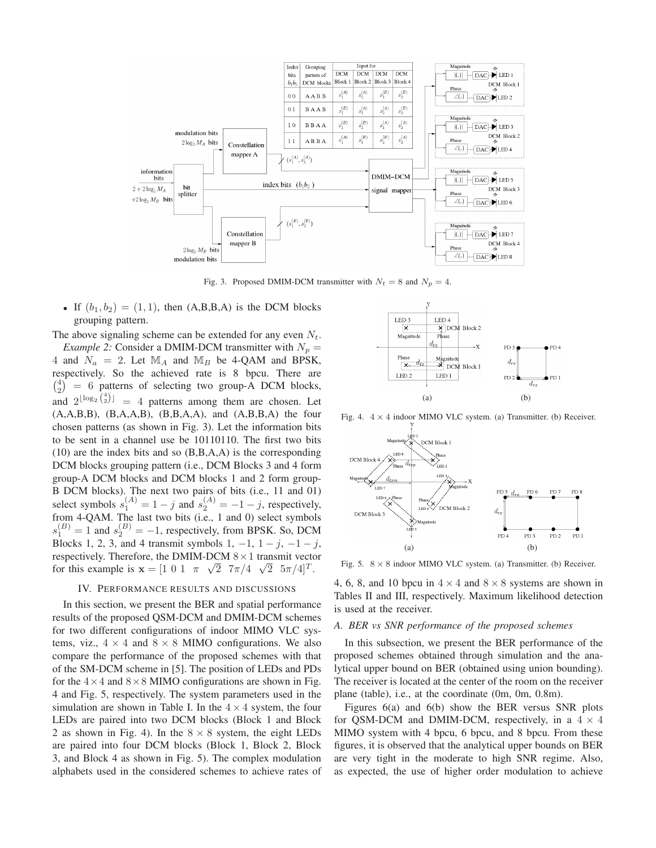

Fig. 3. Proposed DMIM-DCM transmitter with  $N_t = 8$  and  $N_p = 4$ .

• If  $(b_1, b_2) = (1, 1)$ , then  $(A, B, B, A)$  is the DCM blocks grouping pattern.

The above signaling scheme can be extended for any even  $N_t$ . *Example 2:* Consider a DMIM-DCM transmitter with  $N_p =$ 4 and  $N_a = 2$ . Let  $\mathbb{M}_A$  and  $\mathbb{M}_B$  be 4-QAM and BPSK, respectively. So the achieved rate is 8 bpcu. There are  $\binom{4}{2}$  = 6 patterns of selecting two group-A DCM blocks, and  $2^{\lfloor \log_2\binom{4}{2} \rfloor} = 4$  patterns among them are chosen. Let  $(A, A, B, B)$ ,  $(B, A, A, B)$ ,  $(B, B, A, A)$ , and  $(A, B, B, A)$  the four chosen patterns (as shown in Fig. 3). Let the information bits to be sent in a channel use be 10110110. The first two bits (10) are the index bits and so (B,B,A,A) is the corresponding DCM blocks grouping pattern (i.e., DCM Blocks 3 and 4 form group-A DCM blocks and DCM blocks 1 and 2 form group-B DCM blocks). The next two pairs of bits (i.e., 11 and 01) select symbols  $s_1^{(A)} = 1 - j$  and  $s_2^{(A)} = -1 - j$ , respectively, from 4-QAM. The last two bits (i.e., 1 and 0) select symbols  $s_1^{(B)} = 1$  and  $s_2^{(B)} = -1$ , respectively, from BPSK. So, DCM Blocks 1, 2, 3, and 4 transmit symbols 1,  $-1$ ,  $1 - j$ ,  $-1 - j$ , respectively. Therefore, the DMIM-DCM  $8 \times 1$  transmit vector for this example is  $\mathbf{x} = \begin{bmatrix} 1 & 0 & 1 & \pi & \sqrt{2} & \pi/4 & \sqrt{2} & 5\pi/4 \end{bmatrix}^T$ .

# IV. PERFORMANCE RESULTS AND DISCUSSIONS

In this section, we present the BER and spatial performance results of the proposed QSM-DCM and DMIM-DCM schemes for two different configurations of indoor MIMO VLC systems, viz.,  $4 \times 4$  and  $8 \times 8$  MIMO configurations. We also compare the performance of the proposed schemes with that of the SM-DCM scheme in [5]. The position of LEDs and PDs for the  $4 \times 4$  and  $8 \times 8$  MIMO configurations are shown in Fig. 4 and Fig. 5, respectively. The system parameters used in the simulation are shown in Table I. In the  $4 \times 4$  system, the four LEDs are paired into two DCM blocks (Block 1 and Block 2 as shown in Fig. 4). In the  $8 \times 8$  system, the eight LEDs are paired into four DCM blocks (Block 1, Block 2, Block 3, and Block 4 as shown in Fig. 5). The complex modulation alphabets used in the considered schemes to achieve rates of



Fig. 4.  $4 \times 4$  indoor MIMO VLC system. (a) Transmitter. (b) Receiver.



Fig. 5.  $8 \times 8$  indoor MIMO VLC system. (a) Transmitter. (b) Receiver.

4, 6, 8, and 10 bpcu in  $4 \times 4$  and  $8 \times 8$  systems are shown in Tables II and III, respectively. Maximum likelihood detection is used at the receiver.

# *A. BER vs SNR performance of the proposed schemes*

In this subsection, we present the BER performance of the proposed schemes obtained through simulation and the analytical upper bound on BER (obtained using union bounding). The receiver is located at the center of the room on the receiver plane (table), i.e., at the coordinate (0m, 0m, 0.8m).

Figures 6(a) and 6(b) show the BER versus SNR plots for QSM-DCM and DMIM-DCM, respectively, in a  $4 \times 4$ MIMO system with 4 bpcu, 6 bpcu, and 8 bpcu. From these figures, it is observed that the analytical upper bounds on BER are very tight in the moderate to high SNR regime. Also, as expected, the use of higher order modulation to achieve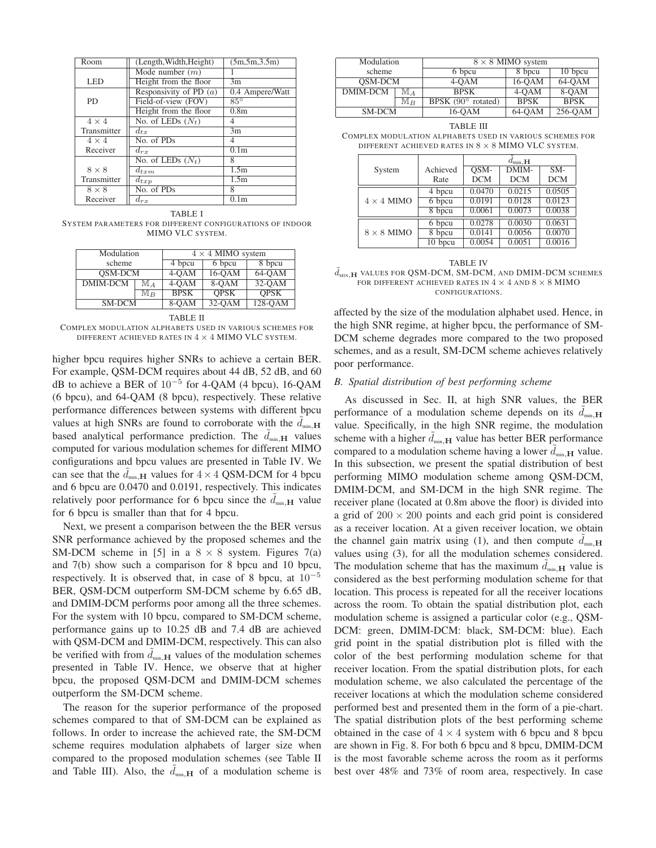| Room                    | (Length, Width, Height)  | (5m, 5m, 3.5m)    |
|-------------------------|--------------------------|-------------------|
|                         | Mode number $(m)$        |                   |
| <b>LED</b>              | Height from the floor    | 3m                |
|                         | Responsivity of PD $(a)$ | 0.4 Ampere/Watt   |
| <b>PD</b>               | Field-of-view (FOV)      | $85^\circ$        |
|                         | Height from the floor    | 0.8 <sub>m</sub>  |
| $\overline{4 \times 4}$ | No. of LEDs $(N_t)$      | 4                 |
| Transmitter             | $d_{tx}$                 | 3m                |
| $4 \times 4$            | No. of PDs               | 4                 |
| Receiver                | $d_{rx}$                 | 0.1 <sub>m</sub>  |
|                         | No. of LEDs $(N_t)$      | 8                 |
| $8 \times 8$            | $d_{t,cm}$               | 1.5m              |
| Transmitter             | $d_{txp}$                | 1.5m              |
| $8 \times 8$            | No. of PDs               | 8                 |
| Receiver                | $d_{rx}$                 | $\overline{0.1m}$ |

TABLE I SYSTEM PARAMETERS FOR DIFFERENT CONFIGURATIONS OF INDOOR MIMO VLC SYSTEM.

| Modulation     |                  | $4 \times 4$ MIMO system |             |             |  |
|----------------|------------------|--------------------------|-------------|-------------|--|
| scheme         |                  | 4 bpcu                   | 6 bpcu      | 8 bpcu      |  |
| <b>OSM-DCM</b> |                  | $4-OAM$                  | $16-OAM$    | $64-OAM$    |  |
| DMIM-DCM       | M a              | $4-OAM$                  | $8-OM$      | $32-OAM$    |  |
|                | $\mathbb{M}_{B}$ | <b>BPSK</b>              | <b>OPSK</b> | <b>OPSK</b> |  |
| SM-DCM         |                  | 8-OAM                    | $32-OAM$    | $128 - QAM$ |  |
|                |                  |                          |             |             |  |

TABLE II

COMPLEX MODULATION ALPHABETS USED IN VARIOUS SCHEMES FOR DIFFERENT ACHIEVED RATES IN  $4 \times 4$  MIMO VLC SYSTEM.

higher bpcu requires higher SNRs to achieve a certain BER. For example, QSM-DCM requires about 44 dB, 52 dB, and 60 dB to achieve a BER of  $10^{-5}$  for 4-QAM (4 bpcu), 16-QAM (6 bpcu), and 64-QAM (8 bpcu), respectively. These relative performance differences between systems with different bpcu values at high SNRs are found to corroborate with the  $d_{\min,\mathbf{H}}$ based analytical performance prediction. The  $d_{\min,\mathbf{H}}$  values computed for various modulation schemes for different MIMO configurations and bpcu values are presented in Table IV. We can see that the  $d_{\min,\mathbf{H}}$  values for  $4 \times 4$  QSM-DCM for 4 bpcu and 6 bpcu are 0.0470 and 0.0191, respectively. This indicates relatively poor performance for 6 bpcu since the  $d_{min,H}$  value for 6 bpcu is smaller than that for 4 bpcu.

Next, we present a comparison between the the BER versus SNR performance achieved by the proposed schemes and the SM-DCM scheme in [5] in a  $8 \times 8$  system. Figures 7(a) and 7(b) show such a comparison for 8 bpcu and 10 bpcu, respectively. It is observed that, in case of 8 bpcu, at  $10^{-5}$ BER, QSM-DCM outperform SM-DCM scheme by 6.65 dB, and DMIM-DCM performs poor among all the three schemes. For the system with 10 bpcu, compared to SM-DCM scheme, performance gains up to 10.25 dB and 7.4 dB are achieved with QSM-DCM and DMIM-DCM, respectively. This can also be verified with from  $d_{min,H}$  values of the modulation schemes presented in Table IV. Hence, we observe that at higher bpcu, the proposed QSM-DCM and DMIM-DCM schemes outperform the SM-DCM scheme.

The reason for the superior performance of the proposed schemes compared to that of SM-DCM can be explained as follows. In order to increase the achieved rate, the SM-DCM scheme requires modulation alphabets of larger size when compared to the proposed modulation schemes (see Table II and Table III). Also, the  $d_{\min,\mathbf{H}}$  of a modulation scheme is

| Modulation      |                  | $8 \times 8$ MIMO system    |             |             |  |
|-----------------|------------------|-----------------------------|-------------|-------------|--|
| scheme          |                  | 6 bpcu                      | 8 bpcu      | 10 bpcu     |  |
| <b>OSM-DCM</b>  |                  | $4-OAM$                     | 16-OAM      | 64-OAM      |  |
| DMIM-DCM<br>M a |                  | <b>BPSK</b>                 | 4-OAM       | 8-OAM       |  |
|                 | $\mathbb{M}_{B}$ | BPSK $(90^{\circ}$ rotated) | <b>BPSK</b> | <b>BPSK</b> |  |
| SM-DCM          |                  | 16-OAM                      | 64-OAM      | 256-OAM     |  |

| TABLE III                                                 |  |  |  |
|-----------------------------------------------------------|--|--|--|
| COMPLEX MODULATION ALPHABETS USED IN VARIOUS SCHEMES FOR  |  |  |  |
| DIFFERENT ACHIEVED RATES IN $8 \times 8$ MIMO VLC SYSTEM. |  |  |  |

|                   |          | $d_{\min, \mathbf{H}}$ |            |            |
|-------------------|----------|------------------------|------------|------------|
| System            | Achieved | $OSM-$                 | DMIM-      | $SM-$      |
|                   | Rate     | <b>DCM</b>             | <b>DCM</b> | <b>DCM</b> |
| $4 \times 4$ MIMO | 4 bpcu   | 0.0470                 | 0.0215     | 0.0505     |
|                   | 6 bpcu   | 0.0191                 | 0.0128     | 0.0123     |
|                   | 8 bpcu   | 0.0061                 | 0.0073     | 0.0038     |
| $8 \times 8$ MIMO | 6 bpcu   | 0.0278                 | 0.0030     | 0.0631     |
|                   | 8 bpcu   | 0.0141                 | 0.0056     | 0.0070     |
|                   | 10 bpcu  | 0.0054                 | 0.0051     | 0.0016     |

TABLE IV  $\tilde{d}_{\text{MIN},\textbf{H}}$  values for QSM-DCM, SM-DCM, and DMIM-DCM schemes FOR DIFFERENT ACHIEVED RATES IN  $4 \times 4$  and  $8 \times 8$  MIMO CONFIGURATIONS.

affected by the size of the modulation alphabet used. Hence, in the high SNR regime, at higher bpcu, the performance of SM-DCM scheme degrades more compared to the two proposed schemes, and as a result, SM-DCM scheme achieves relatively poor performance.

# *B. Spatial distribution of best performing scheme*

As discussed in Sec. II, at high SNR values, the BER performance of a modulation scheme depends on its  $d_{min, H}$ value. Specifically, in the high SNR regime, the modulation scheme with a higher  $d_{min, H}$  value has better BER performance compared to a modulation scheme having a lower  $d_{min,H}$  value. In this subsection, we present the spatial distribution of best performing MIMO modulation scheme among QSM-DCM, DMIM-DCM, and SM-DCM in the high SNR regime. The receiver plane (located at 0.8m above the floor) is divided into a grid of  $200 \times 200$  points and each grid point is considered as a receiver location. At a given receiver location, we obtain the channel gain matrix using (1), and then compute  $d_{\min,\mathbf{H}}$ values using (3), for all the modulation schemes considered. The modulation scheme that has the maximum  $d_{min,H}$  value is considered as the best performing modulation scheme for that location. This process is repeated for all the receiver locations across the room. To obtain the spatial distribution plot, each modulation scheme is assigned a particular color (e.g., QSM-DCM: green, DMIM-DCM: black, SM-DCM: blue). Each grid point in the spatial distribution plot is filled with the color of the best performing modulation scheme for that receiver location. From the spatial distribution plots, for each modulation scheme, we also calculated the percentage of the receiver locations at which the modulation scheme considered performed best and presented them in the form of a pie-chart. The spatial distribution plots of the best performing scheme obtained in the case of  $4 \times 4$  system with 6 bpcu and 8 bpcu are shown in Fig. 8. For both 6 bpcu and 8 bpcu, DMIM-DCM is the most favorable scheme across the room as it performs best over 48% and 73% of room area, respectively. In case